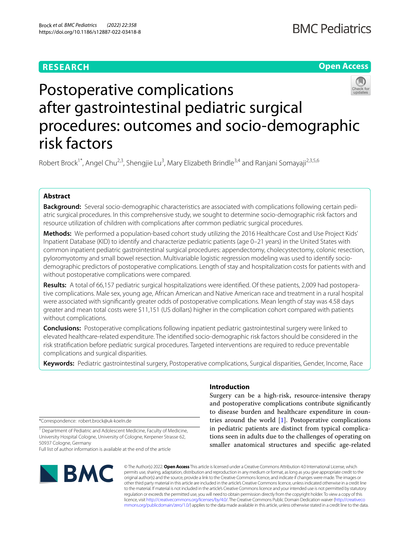## **RESEARCH**

## **Open Access**



# Postoperative complications after gastrointestinal pediatric surgical procedures: outcomes and socio-demographic risk factors

Robert Brock<sup>1\*</sup>, Angel Chu<sup>2,3</sup>, Shengjie Lu<sup>3</sup>, Mary Elizabeth Brindle<sup>3,4</sup> and Ranjani Somayaji<sup>2,3,5,6</sup>

## **Abstract**

**Background:** Several socio-demographic characteristics are associated with complications following certain pediatric surgical procedures. In this comprehensive study, we sought to determine socio-demographic risk factors and resource utilization of children with complications after common pediatric surgical procedures.

**Methods:** We performed a population-based cohort study utilizing the 2016 Healthcare Cost and Use Project Kids' Inpatient Database (KID) to identify and characterize pediatric patients (age 0–21 years) in the United States with common inpatient pediatric gastrointestinal surgical procedures: appendectomy, cholecystectomy, colonic resection, pyloromyotomy and small bowel resection. Multivariable logistic regression modeling was used to identify sociodemographic predictors of postoperative complications. Length of stay and hospitalization costs for patients with and without postoperative complications were compared.

**Results:** A total of 66,157 pediatric surgical hospitalizations were identifed. Of these patients, 2,009 had postoperative complications. Male sex, young age, African American and Native American race and treatment in a rural hospital were associated with signifcantly greater odds of postoperative complications. Mean length of stay was 4.58 days greater and mean total costs were \$11,151 (US dollars) higher in the complication cohort compared with patients without complications.

**Conclusions:** Postoperative complications following inpatient pediatric gastrointestinal surgery were linked to elevated healthcare-related expenditure. The identifed socio-demographic risk factors should be considered in the risk stratifcation before pediatric surgical procedures. Targeted interventions are required to reduce preventable complications and surgical disparities.

**Keywords:** Pediatric gastrointestinal surgery, Postoperative complications, Surgical disparities, Gender, Income, Race

\*Correspondence: robert.brock@uk-koeln.de

<sup>1</sup> Department of Pediatric and Adolescent Medicine, Faculty of Medicine, University Hospital Cologne, University of Cologne, Kerpener Strasse 62, 50937 Cologne, Germany

Full list of author information is available at the end of the article



© The Author(s) 2022. **Open Access** This article is licensed under a Creative Commons Attribution 4.0 International License, which permits use, sharing, adaptation, distribution and reproduction in any medium or format, as long as you give appropriate credit to the original author(s) and the source, provide a link to the Creative Commons licence, and indicate if changes were made. The images or other third party material in this article are included in the article's Creative Commons licence, unless indicated otherwise in a credit line to the material. If material is not included in the article's Creative Commons licence and your intended use is not permitted by statutory regulation or exceeds the permitted use, you will need to obtain permission directly from the copyright holder. To view a copy of this licence, visit [http://creativecommons.org/licenses/by/4.0/.](http://creativecommons.org/licenses/by/4.0/) The Creative Commons Public Domain Dedication waiver ([http://creativeco](http://creativecommons.org/publicdomain/zero/1.0/) [mmons.org/publicdomain/zero/1.0/](http://creativecommons.org/publicdomain/zero/1.0/)) applies to the data made available in this article, unless otherwise stated in a credit line to the data.

### **Introduction**

Surgery can be a high-risk, resource-intensive therapy and postoperative complications contribute signifcantly to disease burden and healthcare expenditure in countries around the world [[1\]](#page-8-0). Postoperative complications in pediatric patients are distinct from typical complications seen in adults due to the challenges of operating on smaller anatomical structures and specifc age-related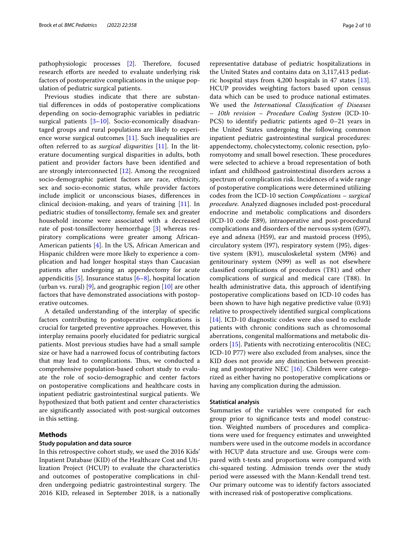pathophysiologic processes [[2\]](#page-8-1). Therefore, focused research efforts are needed to evaluate underlying risk factors of postoperative complications in the unique population of pediatric surgical patients.

Previous studies indicate that there are substantial diferences in odds of postoperative complications depending on socio-demographic variables in pediatric surgical patients [\[3](#page-8-2)[–10\]](#page-8-3). Socio-economically disadvantaged groups and rural populations are likely to experience worse surgical outcomes [\[11](#page-8-4)]. Such inequalities are often referred to as *surgical disparities* [[11](#page-8-4)]. In the literature documenting surgical disparities in adults, both patient and provider factors have been identifed and are strongly interconnected [\[12\]](#page-8-5). Among the recognized socio-demographic patient factors are race, ethnicity, sex and socio-economic status, while provider factors include implicit or unconscious biases, diferences in clinical decision-making, and years of training [\[11](#page-8-4)]. In pediatric studies of tonsillectomy, female sex and greater household income were associated with a decreased rate of post-tonsillectomy hemorrhage [[3](#page-8-2)] whereas respiratory complications were greater among African-American patients [\[4\]](#page-8-6). In the US, African American and Hispanic children were more likely to experience a complication and had longer hospital stays than Caucasian patients after undergoing an appendectomy for acute appendicitis  $[5]$  $[5]$ . Insurance status  $[6-8]$  $[6-8]$  $[6-8]$ , hospital location (urban vs. rural)  $[9]$  $[9]$ , and geographic region  $[10]$  $[10]$  are other factors that have demonstrated associations with postoperative outcomes.

A detailed understanding of the interplay of specifc factors contributing to postoperative complications is crucial for targeted preventive approaches. However, this interplay remains poorly elucidated for pediatric surgical patients. Most previous studies have had a small sample size or have had a narrowed focus of contributing factors that may lead to complications. Thus, we conducted a comprehensive population-based cohort study to evaluate the role of socio-demographic and center factors on postoperative complications and healthcare costs in inpatient pediatric gastrointestinal surgical patients. We hypothesized that both patient and center characteristics are signifcantly associated with post-surgical outcomes in this setting.

#### **Methods**

#### **Study population and data source**

In this retrospective cohort study, we used the 2016 Kids' Inpatient Database (KID) of the Healthcare Cost and Utilization Project (HCUP) to evaluate the characteristics and outcomes of postoperative complications in children undergoing pediatric gastrointestinal surgery. The 2016 KID, released in September 2018, is a nationally representative database of pediatric hospitalizations in the United States and contains data on 3,117,413 pediatric hospital stays from 4,200 hospitals in 47 states [\[13](#page-8-11)]. HCUP provides weighting factors based upon census data which can be used to produce national estimates. We used the *International Classifcation of Diseases – 10th revision – Procedure Coding System* (ICD-10- PCS) to identify pediatric patients aged 0–21 years in the United States undergoing the following common inpatient pediatric gastrointestinal surgical procedures: appendectomy, cholecystectomy, colonic resection, pyloromyotomy and small bowel resection. These procedures were selected to achieve a broad representation of both infant and childhood gastrointestinal disorders across a spectrum of complication risk. Incidences of a wide range of postoperative complications were determined utilizing codes from the ICD-10 section *Complications – surgical procedure.* Analyzed diagnoses included post-procedural endocrine and metabolic complications and disorders (ICD-10 code E89), intraoperative and post-procedural complications and disorders of the nervous system (G97), eye and adnexa (H59), ear and mastoid process (H95), circulatory system (I97), respiratory system (J95), digestive system (K91), musculoskeletal system (M96) and genitourinary system (N99) as well as not elsewhere classifed complications of procedures (T81) and other complications of surgical and medical care (T88). In health administrative data, this approach of identifying postoperative complications based on ICD-10 codes has been shown to have high negative predictive value (0.93) relative to prospectively identifed surgical complications [[14\]](#page-8-12). ICD-10 diagnostic codes were also used to exclude patients with chronic conditions such as chromosomal aberrations, congenital malformations and metabolic disorders [[15](#page-8-13)]. Patients with necrotizing enterocolitis (NEC; ICD-10 P77) were also excluded from analyses, since the KID does not provide any distinction between preexisting and postoperative NEC [\[16](#page-8-14)]. Children were categorized as either having no postoperative complications or having any complication during the admission.

#### **Statistical analysis**

Summaries of the variables were computed for each group prior to signifcance tests and model construction. Weighted numbers of procedures and complications were used for frequency estimates and unweighted numbers were used in the outcome models in accordance with HCUP data structure and use. Groups were compared with t-tests and proportions were compared with chi-squared testing. Admission trends over the study period were assessed with the Mann-Kendall trend test. Our primary outcome was to identify factors associated with increased risk of postoperative complications.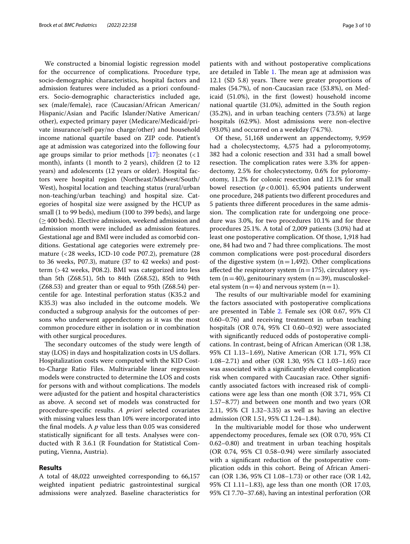We constructed a binomial logistic regression model for the occurrence of complications. Procedure type, socio-demographic characteristics, hospital factors and admission features were included as a priori confounders. Socio-demographic characteristics included age, sex (male/female), race (Caucasian/African American/ Hispanic/Asian and Pacifc Islander/Native American/ other), expected primary payer (Medicare/Medicaid/private insurance/self-pay/no charge/other) and household income national quartile based on ZIP code. Patient's age at admission was categorized into the following four age groups similar to prior methods  $[17]$  $[17]$  $[17]$ : neonates  $(1)$ month), infants (1 month to 2 years), children (2 to 12 years) and adolescents (12 years or older). Hospital factors were hospital region (Northeast/Midwest/South/ West), hospital location and teaching status (rural/urban non-teaching/urban teaching) and hospital size. Categories of hospital size were assigned by the HCUP as small (1 to 99 beds), medium (100 to 399 beds), and large  $(≥400$  beds). Elective admission, weekend admission and admission month were included as admission features. Gestational age and BMI were included as comorbid conditions. Gestational age categories were extremely premature (<28 weeks, ICD-10 code P07.2), premature (28 to 36 weeks, P07.3), mature (37 to 42 weeks) and postterm (>42 weeks, P08.2). BMI was categorized into less than 5th (Z68.51), 5th to 84th (Z68.52), 85th to 94th (Z68.53) and greater than or equal to 95th (Z68.54) percentile for age. Intestinal perforation status (K35.2 and K35.3) was also included in the outcome models. We conducted a subgroup analysis for the outcomes of persons who underwent appendectomy as it was the most common procedure either in isolation or in combination with other surgical procedures.

The secondary outcomes of the study were length of stay (LOS) in days and hospitalization costs in US dollars. Hospitalization costs were computed with the KID Costto-Charge Ratio Files. Multivariable linear regression models were constructed to determine the LOS and costs for persons with and without complications. The models were adjusted for the patient and hospital characteristics as above. A second set of models was constructed for procedure-specifc results. *A priori* selected covariates with missing values less than 10% were incorporated into the fnal models. A *p* value less than 0.05 was considered statistically signifcant for all tests. Analyses were conducted with R 3.6.1 (R Foundation for Statistical Computing, Vienna, Austria).

#### **Results**

A total of 48,022 unweighted corresponding to 66,157 weighted inpatient pediatric gastrointestinal surgical admissions were analyzed. Baseline characteristics for

patients with and without postoperative complications are detailed in Table [1](#page-3-0). The mean age at admission was 12.1 (SD 5.8) years. There were greater proportions of males (54.7%), of non-Caucasian race (53.8%), on Medicaid (51.0%), in the frst (lowest) household income national quartile (31.0%), admitted in the South region (35.2%), and in urban teaching centers (73.5%) at large hospitals (62.9%). Most admissions were non-elective (93.0%) and occurred on a weekday (74.7%).

Of these, 51,168 underwent an appendectomy, 9,959 had a cholecystectomy, 4,575 had a pyloromyotomy, 382 had a colonic resection and 331 had a small bowel resection. The complication rates were 3.3% for appendectomy, 2.5% for cholecystectomy, 0.6% for pyloromyotomy, 11.2% for colonic resection and 12.1% for small bowel resection (*p*<0.001). 65,904 patients underwent one procedure, 248 patients two diferent procedures and 5 patients three diferent procedures in the same admission. The complication rate for undergoing one procedure was 3.0%, for two procedures 10.1% and for three procedures 25.1%. A total of 2,009 patients (3.0%) had at least one postoperative complication. Of those, 1,918 had one, 84 had two and 7 had three complications. The most common complications were post-procedural disorders of the digestive system  $(n=1,492)$ . Other complications affected the respiratory system ( $n=175$ ), circulatory system (n=40), genitourinary system (n=39), musculoskeletal system ( $n=4$ ) and nervous system ( $n=1$ ).

The results of our multivariable model for examining the factors associated with postoperative complications are presented in Table [2](#page-5-0). Female sex (OR 0.67, 95% CI 0.60–0.76) and receiving treatment in urban teaching hospitals (OR 0.74, 95% CI 0.60–0.92) were associated with signifcantly reduced odds of postoperative complications. In contrast, being of African American (OR 1.38, 95% CI 1.13–1.69), Native American (OR 1.71, 95% CI 1.08–2.71) and other (OR 1.30, 95% CI 1.03–1.65) race was associated with a signifcantly elevated complication risk when compared with Caucasian race. Other signifcantly associated factors with increased risk of complications were age less than one month (OR 3.71, 95% CI 1.57–8.77) and between one month and two years (OR 2.11, 95% CI 1.32–3.35) as well as having an elective admission (OR 1.51, 95% CI 1.24–1.84).

In the multivariable model for those who underwent appendectomy procedures, female sex (OR 0.70, 95% CI 0.62–0.80) and treatment in urban teaching hospitals (OR 0.74, 95% CI 0.58–0.94) were similarly associated with a signifcant reduction of the postoperative complication odds in this cohort. Being of African American (OR 1.36, 95% CI 1.08–1.73) or other race (OR 1.42, 95% CI 1.11–1.83), age less than one month (OR 17.03, 95% CI 7.70–37.68), having an intestinal perforation (OR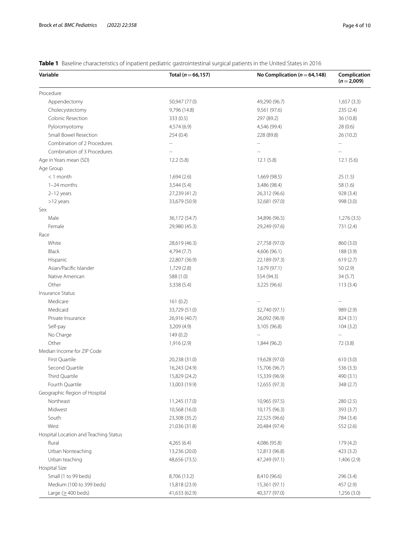| Variable                              | Total ( $n = 66, 157$ )  | No Complication ( $n = 64,148$ ) | Complication<br>$(n=2,009)$ |  |
|---------------------------------------|--------------------------|----------------------------------|-----------------------------|--|
| Procedure                             |                          |                                  |                             |  |
| Appendectomy                          | 50,947 (77.0)            | 49,290 (96.7)                    | 1,657(3.3)                  |  |
| Cholecystectomy                       | 9,796 (14.8)             | 9,561 (97.6)                     | 235 (2.4)                   |  |
| Colonic Resection                     | 333 (0.5)                | 297 (89.2)                       | 36 (10.8)                   |  |
| Pyloromyotomy                         | 4,574 (6.9)              | 4,546 (99.4)                     | 28(0.6)                     |  |
| Small Bowel Resection                 | 254(0.4)                 | 228 (89.8)                       | 26 (10.2)                   |  |
| Combination of 2 Procedures           |                          |                                  |                             |  |
| Combination of 3 Procedures           | $\overline{\phantom{a}}$ | $\overline{a}$                   |                             |  |
| Age in Years mean (SD)                | 12.2(5.8)                | 12.1(5.8)                        | 12.1(5.6)                   |  |
| Age Group                             |                          |                                  |                             |  |
| $<$ 1 month                           | 1,694(2.6)               | 1,669 (98.5)                     | 25(1.5)                     |  |
| 1-24 months                           | 3,544(5.4)               | 3,486 (98.4)                     | 58 (1.6)                    |  |
| $2-12$ years                          | 27,239 (41.2)            | 26,312 (96.6)                    | 928 (3.4)                   |  |
| >12 years                             | 33,679 (50.9)            | 32,681 (97.0)                    | 998 (3.0)                   |  |
| Sex                                   |                          |                                  |                             |  |
| Male                                  | 36,172 (54.7)            | 34,896 (96.5)                    | 1,276 (3.5)                 |  |
| Female                                | 29,980 (45.3)            | 29,249 (97.6)                    | 731 (2.4)                   |  |
| Race                                  |                          |                                  |                             |  |
| White                                 | 28,619 (46.3)            | 27,758 (97.0)                    | 860 (3.0)                   |  |
| Black                                 | 4,794 (7.7)              | 4,606 (96.1)                     | 188 (3.9)                   |  |
| Hispanic                              | 22,807 (36.9)            | 22,189 (97.3)                    | 619(2.7)                    |  |
| Asian/Pacific Islander                | 1,729 (2.8)              | 1,679 (97.1)                     | 50(2.9)                     |  |
| Native American                       | 588 (1.0)                | 554 (94.3)                       | 34(5.7)                     |  |
| Other                                 | 3,338(5.4)               | 3,225 (96.6)                     | 113(3.4)                    |  |
| Insurance Status                      |                          |                                  |                             |  |
| Medicare                              | 161(0.2)                 |                                  | $\overline{\phantom{a}}$    |  |
| Medicaid                              | 33,729 (51.0)            | 32,740 (97.1)                    | 989 (2.9)                   |  |
| Private Insurance                     | 26,916 (40.7)            | 26,092 (96.9)                    | 824 (3.1)                   |  |
| Self-pay                              | 3,209(4.9)               | 3,105 (96.8)                     | 104(3.2)                    |  |
| No Charge                             | 149(0.2)                 | $\cdots$                         | $\cdots$                    |  |
| Other                                 | 1,916 (2.9)              | 1,844 (96.2)                     | 72 (3.8)                    |  |
| Median Income for ZIP Code            |                          |                                  |                             |  |
| First Quartile                        | 20,238 (31.0)            | 19,628 (97.0)                    | 610(3.0)                    |  |
| Second Quartile                       | 16,243 (24.9)            | 15,706 (96.7)                    | 536(3.3)                    |  |
| Third Quartile                        | 15,829 (24.2)            | 15,339 (96.9)                    | 490 (3.1)                   |  |
| Fourth Quartile                       | 13,003 (19.9)            | 12,655 (97.3)                    | 348 (2.7)                   |  |
| Geographic Region of Hospital         |                          |                                  |                             |  |
| Northeast                             | 11,245 (17.0)            | 10,965 (97.5)                    | 280(2.5)                    |  |
| Midwest                               | 10,568 (16.0)            | 10,175 (96.3)                    | 393 (3.7)                   |  |
| South                                 | 23,308 (35.2)            | 22,525 (96.6)                    | 784 (3.4)                   |  |
| West                                  | 21,036 (31.8)            | 20,484 (97.4)                    | 552 (2.6)                   |  |
| Hospital Location and Teaching Status |                          |                                  |                             |  |
| Rural                                 | 4,265(6.4)               | 4,086 (95.8)                     | 179 (4.2)                   |  |
| Urban Nonteaching                     | 13,236 (20.0)            | 12,813 (96.8)                    | 423(3.2)                    |  |
| Urban teaching                        | 48,656 (73.5)            | 47,249 (97.1)                    | 1,406 (2.9)                 |  |
| Hospital Size                         |                          |                                  |                             |  |
| Small (1 to 99 beds)                  | 8,706 (13.2)             | 8,410 (96.6)                     | 296 (3.4)                   |  |
| Medium (100 to 399 beds)              | 15,818 (23.9)            | 15,361 (97.1)                    | 457 (2.9)                   |  |
| Large ( $\geq$ 400 beds)              | 41,633 (62.9)            | 40,377 (97.0)                    | 1,256 (3.0)                 |  |

<span id="page-3-0"></span>**Table 1** Baseline characteristics of inpatient pediatric gastrointestinal surgical patients in the United States in 2016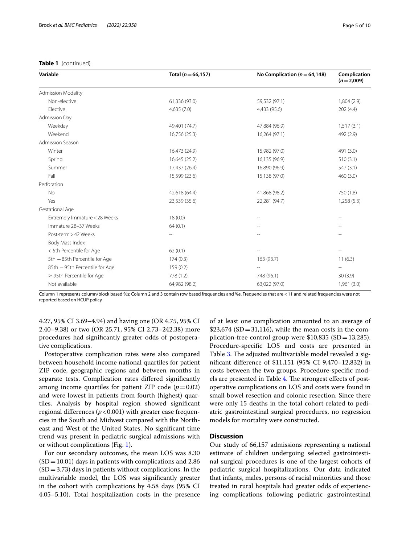#### **Table 1** (continued)

| Variable                       | Total ( $n = 66, 157$ ) | No Complication ( $n = 64,148$ ) | Complication<br>$(n=2,009)$ |
|--------------------------------|-------------------------|----------------------------------|-----------------------------|
| <b>Admission Modality</b>      |                         |                                  |                             |
| Non-elective                   | 61,336 (93.0)           | 59,532 (97.1)                    | 1,804(2.9)                  |
| Elective                       | 4,635(7.0)              | 4,433 (95.6)                     | 202(4.4)                    |
| Admission Day                  |                         |                                  |                             |
| Weekday                        | 49,401 (74.7)           | 47,884 (96.9)                    | 1,517(3.1)                  |
| Weekend                        | 16,756 (25.3)           | 16,264 (97.1)                    | 492 (2.9)                   |
| Admission Season               |                         |                                  |                             |
| Winter                         | 16,473 (24.9)           | 15,982 (97.0)                    | 491 (3.0)                   |
| Spring                         | 16,645 (25.2)           | 16,135 (96.9)                    | 510(3.1)                    |
| Summer                         | 17,437 (26.4)           | 16,890 (96.9)                    | 547(3.1)                    |
| Fall                           | 15,599 (23.6)           | 15,138 (97.0)                    | 460(3.0)                    |
| Perforation                    |                         |                                  |                             |
| No                             | 42,618 (64.4)           | 41,868 (98.2)                    | 750 (1.8)                   |
| Yes                            | 23,539 (35.6)           | 22,281 (94.7)                    | 1,258(5.3)                  |
| Gestational Age                |                         |                                  |                             |
| Extremely Immature < 28 Weeks  | 18(0.0)                 |                                  |                             |
| Immature 28-37 Weeks           | 64(0.1)                 |                                  |                             |
| Post-term > 42 Weeks           |                         |                                  |                             |
| Body Mass Index                |                         |                                  |                             |
| < 5th Percentile for Age       | 62(0.1)                 |                                  |                             |
| 5th - 85th Percentile for Age  | 174(0.3)                | 163 (93.7)                       | 11(6.3)                     |
| 85th - 95th Percentile for Age | 159(0.2)                |                                  |                             |
| $\geq$ 95th Percentile for Age | 778 (1.2)               | 748 (96.1)                       | 30(3.9)                     |
| Not available                  | 64,982 (98.2)           | 63,022 (97.0)                    | 1,961(3.0)                  |

Column 1 represents column/block based %s; Column 2 and 3 contain row based frequencies and %s. Frequencies that are <11 and related frequencies were not reported based on HCUP policy

4.27, 95% CI 3.69–4.94) and having one (OR 4.75, 95% CI 2.40–9.38) or two (OR 25.71, 95% CI 2.73–242.38) more procedures had signifcantly greater odds of postoperative complications.

Postoperative complication rates were also compared between household income national quartiles for patient ZIP code, geographic regions and between months in separate tests. Complication rates difered signifcantly among income quartiles for patient ZIP code  $(p=0.02)$ and were lowest in patients from fourth (highest) quartiles. Analysis by hospital region showed signifcant regional differences  $(p < 0.001)$  with greater case frequencies in the South and Midwest compared with the Northeast and West of the United States. No signifcant time trend was present in pediatric surgical admissions with or without complications (Fig. [1\)](#page-6-0).

For our secondary outcomes, the mean LOS was 8.30  $(SD=10.01)$  days in patients with complications and 2.86  $(SD=3.73)$  days in patients without complications. In the multivariable model, the LOS was signifcantly greater in the cohort with complications by 4.58 days (95% CI 4.05–5.10). Total hospitalization costs in the presence

of at least one complication amounted to an average of  $$23,674$  (SD = 31,116), while the mean costs in the complication-free control group were  $$10,835$  (SD=13,285). Procedure-specifc LOS and costs are presented in Table [3.](#page-6-1) The adjusted multivariable model revealed a signifcant diference of \$11,151 (95% CI 9,470–12,832) in costs between the two groups. Procedure-specifc mod-els are presented in Table [4.](#page-6-2) The strongest effects of postoperative complications on LOS and costs were found in small bowel resection and colonic resection. Since there were only 15 deaths in the total cohort related to pediatric gastrointestinal surgical procedures, no regression models for mortality were constructed.

#### **Discussion**

Our study of 66,157 admissions representing a national estimate of children undergoing selected gastrointestinal surgical procedures is one of the largest cohorts of pediatric surgical hospitalizations. Our data indicated that infants, males, persons of racial minorities and those treated in rural hospitals had greater odds of experiencing complications following pediatric gastrointestinal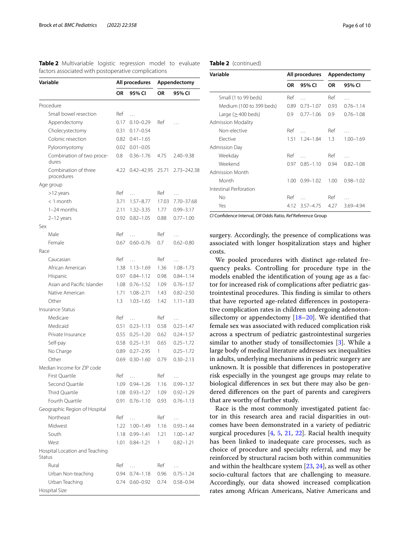<span id="page-5-0"></span>**Table 2** Multivariable logistic regression model to evaluate factors associated with postoperative complications

| Variable                                 |           | All procedures |       | Appendectomy  |  |
|------------------------------------------|-----------|----------------|-------|---------------|--|
|                                          | <b>OR</b> | 95% CI         | OR    | 95% CI        |  |
| Procedure                                |           |                |       |               |  |
| Small bowel resection                    | Ref       | $\cdots$       |       |               |  |
| Appendectomy                             | 0.17      | $0.10 - 0.29$  | Ref   |               |  |
| Cholecystectomy                          | 0.31      | $0.17 - 0.54$  |       |               |  |
| Colonic resection                        | 0.82      | $0.41 - 1.65$  |       |               |  |
| Pyloromyotomy                            | 0.02      | $0.01 - 0.05$  |       |               |  |
| Combination of two proce-<br>dures       | 0.8       | $0.36 - 1.76$  | 4.75  | $2.40 - 9.38$ |  |
| Combination of three<br>procedures       | 4.22      | $0.42 - 42.95$ | 25.71 | 2.73-242.38   |  |
| Age group                                |           |                |       |               |  |
| >12 years                                | Ref       | $\cdots$       | Ref   | $\cdots$      |  |
| $<$ 1 month                              | 3.71      | $1.57 - 8.77$  | 17.03 | 7.70-37.68    |  |
| 1-24 months                              | 2.11      | $1.32 - 3.35$  | 1.77  | $0.99 - 3.17$ |  |
| 2-12 years                               | 0.92      | $0.82 - 1.05$  | 0.88  | $0.77 - 1.00$ |  |
| Sex                                      |           |                |       |               |  |
| Male                                     | Ref       | $\cdots$       | Ref   | .             |  |
| Female                                   | 0.67      | $0.60 - 0.76$  | 0.7   | $0.62 - 0.80$ |  |
| Race                                     |           |                |       |               |  |
| Caucasian                                | Ref       | $\cdots$       | Ref   | .             |  |
| African American                         | 1.38      | $1.13 - 1.69$  | 1.36  | $1.08 - 1.73$ |  |
| Hispanic                                 | 0.97      | $0.84 - 1.12$  | 0.98  | $0.84 - 1.14$ |  |
| Asian and Pacific Islander               | 1.08      | $0.76 - 1.52$  | 1.09  | $0.76 - 1.57$ |  |
| Native American                          | 1.71      | $1.08 - 2.71$  | 1.43  | $0.82 - 2.50$ |  |
| Other                                    | 1.3       | $1.03 - 1.65$  | 1.42  | $1.11 - 1.83$ |  |
| <b>Insurance Status</b>                  |           |                |       |               |  |
| Medicare                                 | Ref       | $\cdots$       | Ref   | .             |  |
| Medicaid                                 | 0.51      | $0.23 - 1.13$  | 0.58  | $0.23 - 1.47$ |  |
| Private Insurance                        | 0.55      | $0.25 - 1.20$  | 0.62  | $0.24 - 1.57$ |  |
| Self-pay                                 | 0.58      | $0.25 - 1.31$  | 0.65  | $0.25 - 1.72$ |  |
| No Charge                                | 0.89      | $0.27 - 2.95$  | 1     | $0.25 - 1.72$ |  |
| Other                                    | 0.69      | $0.30 - 1.60$  | 0.79  | $0.30 - 2.13$ |  |
| Median Income for ZIP code               |           |                |       |               |  |
| First Quartile                           | Ref       | $\ldots$       | Ref   | .             |  |
| Second Quartile                          |           | 1.09 0.94-1.26 | 1.16  | $0.99 - 1.37$ |  |
| Third Quartile                           | 1.08      | $0.93 - 1.27$  | 1.09  | $0.92 - 1.29$ |  |
| Fourth Quartile                          | 0.91      | $0.76 - 1.10$  | 0.93  | $0.76 - 1.13$ |  |
| Geographic Region of Hospital            |           |                |       |               |  |
| Northeast                                | Ref       | $\cdots$       | Ref   | .             |  |
| Midwest                                  | 1.22      | $1.00 - 1.49$  | 1.16  | $0.93 - 1.44$ |  |
| South                                    | 1.18      | $0.99 - 1.41$  | 1.21  | $1.00 - 1.47$ |  |
| West                                     | 1.01      | $0.84 - 1.21$  | 1     | $0.82 - 1.21$ |  |
| Hospital Location and Teaching<br>Status |           |                |       |               |  |
| Rural                                    | Ref       | $\cdots$       | Ref   | .             |  |
| Urban Non-teaching                       | 0.94      | $0.74 - 1.18$  | 0.96  | $0.75 - 1.24$ |  |
| Urban Teaching                           | 0.74      | $0.60 - 0.92$  | 0.74  | $0.58 - 0.94$ |  |
| Hospital Size                            |           |                |       |               |  |

#### **Table 2** (continued)

| Variable                  |      | All procedures |           | Appendectomy  |  |
|---------------------------|------|----------------|-----------|---------------|--|
|                           | 0R   | 95% CI         | <b>OR</b> | 95% CI        |  |
| Small (1 to 99 beds)      | Ref  | $\mathbf{r}$   | Ref       | $\cdots$      |  |
| Medium (100 to 399 beds)  | 0.89 | $0.73 - 1.07$  | 0.93      | $0.76 - 1.14$ |  |
| Large ( $\geq$ 400 beds)  | 0.9  | $0.77 - 1.06$  | 0.9       | $0.76 - 1.08$ |  |
| <b>Admission Modality</b> |      |                |           |               |  |
| Non-elective              | Ref  | $\mathbf{r}$   | Ref       | $\cdots$      |  |
| Flective                  | 1.51 | $1.24 - 1.84$  | 1.3       | $1.00 - 1.69$ |  |
| Admission Day             |      |                |           |               |  |
| Weekday                   | Ref  | $\mathbf{r}$   | Ref       | $\cdots$      |  |
| Weekend                   | 0.97 | $0.85 - 1.10$  | 0.94      | $0.82 - 1.08$ |  |
| Admission Month           |      |                |           |               |  |
| Month                     | 1.00 | $0.99 - 1.02$  | 1.00      | $0.98 - 1.02$ |  |
| Intestinal Perforation    |      |                |           |               |  |
| No                        | Ref  | $\mathbf{r}$   | Ref       | $\cdots$      |  |
| Yes                       | 4.12 | 3.57-4.75      | 4.27      | 3.69-4.94     |  |

*CI* Confdence Interval, *OR* Odds Ratio, *Ref* Reference Group

surgery. Accordingly, the presence of complications was associated with longer hospitalization stays and higher costs.

We pooled procedures with distinct age-related frequency peaks. Controlling for procedure type in the models enabled the identifcation of young age as a factor for increased risk of complications after pediatric gastrointestinal procedures. This finding is similar to others that have reported age-related diferences in postoperative complication rates in children undergoing adenotonsillectomy or appendectomy [[18–](#page-8-16)[20](#page-8-17)]. We identifed that female sex was associated with reduced complication risk across a spectrum of pediatric gastrointestinal surgeries similar to another study of tonsillectomies [\[3](#page-8-2)]. While a large body of medical literature addresses sex inequalities in adults, underlying mechanisms in pediatric surgery are unknown. It is possible that diferences in postoperative risk especially in the youngest age groups may relate to biological diferences in sex but there may also be gendered diferences on the part of parents and caregivers that are worthy of further study.

Race is the most commonly investigated patient factor in this research area and racial disparities in outcomes have been demonstrated in a variety of pediatric surgical procedures [\[4](#page-8-6), [5,](#page-8-7) [21](#page-8-18), [22\]](#page-8-19). Racial health inequity has been linked to inadequate care processes, such as choice of procedure and specialty referral, and may be reinforced by structural racism both within communities and within the healthcare system [[23,](#page-8-20) [24\]](#page-8-21), as well as other socio-cultural factors that are challenging to measure. Accordingly, our data showed increased complication rates among African Americans, Native Americans and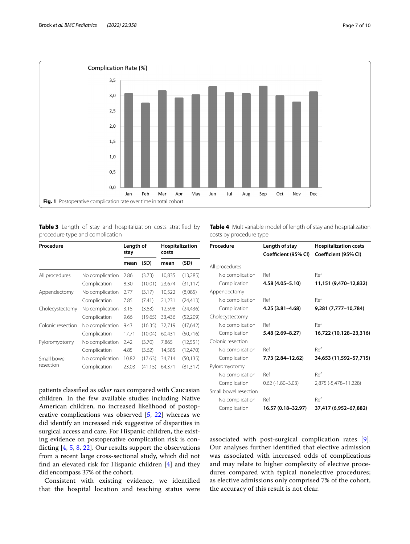

<span id="page-6-1"></span><span id="page-6-0"></span>**Table 3** Length of stay and hospitalization costs stratifed by procedure type and complication

| Procedure         |                 | Length of<br>stay |         | Hospitalization<br>costs |           |
|-------------------|-----------------|-------------------|---------|--------------------------|-----------|
|                   |                 | mean              | (SD)    | mean                     | (SD)      |
| All procedures    | No complication | 2.86              | (3.73)  | 10,835                   | (13,285)  |
|                   | Complication    | 8.30              | (10.01) | 23,674                   | (31, 117) |
| Appendectomy      | No complication | 2.77              | (3.17)  | 10,522                   | (8,085)   |
|                   | Complication    | 7.85              | (7.41)  | 21,231                   | (24, 413) |
| Cholecystectomy   | No complication | 3.15              | (3.83)  | 12,598                   | (24, 436) |
|                   | Complication    | 9.66              | (19.65) | 33,436                   | (52,209)  |
| Colonic resection | No complication | 9.43              | (16.35) | 32,719                   | (47, 642) |
|                   | Complication    | 17.71             | (10.04) | 60,431                   | (50, 716) |
| Pyloromyotomy     | No complication | 2.42              | (3.70)  | 7,865                    | (12, 551) |
|                   | Complication    | 4.85              | (3.62)  | 14,585                   | (12, 470) |
| Small bowel       | No complication | 10.82             | (17.63) | 34,714                   | (50, 135) |
| resection         | Complication    | 23.03             | (41.15) | 64.371                   | (81, 317) |

patients classifed as *other race* compared with Caucasian children. In the few available studies including Native American children, no increased likelihood of postoperative complications was observed [\[5](#page-8-7), [22](#page-8-19)] whereas we did identify an increased risk suggestive of disparities in surgical access and care. For Hispanic children, the existing evidence on postoperative complication risk is conficting [\[4](#page-8-6), [5,](#page-8-7) [8,](#page-8-9) [22\]](#page-8-19). Our results support the observations from a recent large cross-sectional study, which did not fnd an elevated risk for Hispanic children [\[4](#page-8-6)] and they did encompass 37% of the cohort.

Consistent with existing evidence, we identifed that the hospital location and teaching status were <span id="page-6-2"></span>**Table 4** Multivariable model of length of stay and hospitalization costs by procedure type

| Procedure             | Length of stay<br>Coefficient (95% CI) | <b>Hospitalization costs</b><br>Coefficient (95% CI) |
|-----------------------|----------------------------------------|------------------------------------------------------|
| All procedures        |                                        |                                                      |
| No complication       | Ref                                    | Ref                                                  |
| Complication          | 4.58 (4.05-5.10)                       | 11,151 (9,470-12,832)                                |
| Appendectomy          |                                        |                                                      |
| No complication       | Ref                                    | Ref                                                  |
| Complication          | 4.25 (3.81-4.68)                       | 9,281 (7,777-10,784)                                 |
| Cholecystectomy       |                                        |                                                      |
| No complication       | Ref                                    | Ref                                                  |
| Complication          | $5.48(2.69 - 8.27)$                    | 16,722 (10,128-23,316)                               |
| Colonic resection     |                                        |                                                      |
| No complication       | Ref                                    | Ref                                                  |
| Complication          | 7.73 (2.84-12.62)                      | 34,653 (11,592-57,715)                               |
| Pyloromyotomy         |                                        |                                                      |
| No complication       | Ref                                    | Ref                                                  |
| Complication          | $0.62$ ( $-1.80 - 3.03$ )              | 2,875 (-5,478-11,228)                                |
| Small bowel resection |                                        |                                                      |
| No complication       | Ref                                    | Ref                                                  |
| Complication          | 16.57 (0.18-32.97)                     | 37,417 (6,952-67,882)                                |

associated with post-surgical complication rates [[9](#page-8-10)]. Our analyses further identifed that elective admission was associated with increased odds of complications and may relate to higher complexity of elective procedures compared with typical nonelective procedures; as elective admissions only comprised 7% of the cohort, the accuracy of this result is not clear.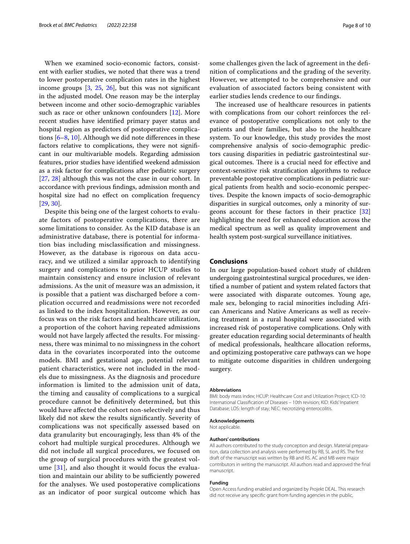When we examined socio-economic factors, consistent with earlier studies, we noted that there was a trend to lower postoperative complication rates in the highest income groups  $[3, 25, 26]$  $[3, 25, 26]$  $[3, 25, 26]$  $[3, 25, 26]$  $[3, 25, 26]$  $[3, 25, 26]$ , but this was not significant in the adjusted model. One reason may be the interplay between income and other socio-demographic variables such as race or other unknown confounders [\[12](#page-8-5)]. More recent studies have identifed primary payer status and hospital region as predictors of postoperative complications [[6–](#page-8-8)[8](#page-8-9), [10\]](#page-8-3). Although we did note diferences in these factors relative to complications, they were not signifcant in our multivariable models. Regarding admission features, prior studies have identifed weekend admission as a risk factor for complications after pediatric surgery [[27,](#page-8-24) [28\]](#page-8-25) although this was not the case in our cohort. In accordance with previous fndings, admission month and hospital size had no efect on complication frequency [[29,](#page-8-26) [30](#page-8-27)].

Despite this being one of the largest cohorts to evaluate factors of postoperative complications, there are some limitations to consider. As the KID database is an administrative database, there is potential for information bias including misclassifcation and missingness. However, as the database is rigorous on data accuracy, and we utilized a similar approach to identifying surgery and complications to prior HCUP studies to maintain consistency and ensure inclusion of relevant admissions. As the unit of measure was an admission, it is possible that a patient was discharged before a complication occurred and readmissions were not recorded as linked to the index hospitalization. However, as our focus was on the risk factors and healthcare utilization, a proportion of the cohort having repeated admissions would not have largely afected the results. For missingness, there was minimal to no missingness in the cohort data in the covariates incorporated into the outcome models. BMI and gestational age, potential relevant patient characteristics, were not included in the models due to missingness. As the diagnosis and procedure information is limited to the admission unit of data, the timing and causality of complications to a surgical procedure cannot be defnitively determined, but this would have afected the cohort non-selectively and thus likely did not skew the results signifcantly. Severity of complications was not specifcally assessed based on data granularity but encouragingly, less than 4% of the cohort had multiple surgical procedures. Although we did not include all surgical procedures, we focused on the group of surgical procedures with the greatest volume [[31](#page-9-0)], and also thought it would focus the evaluation and maintain our ability to be sufficiently powered for the analyses. We used postoperative complications as an indicator of poor surgical outcome which has some challenges given the lack of agreement in the defnition of complications and the grading of the severity. However, we attempted to be comprehensive and our evaluation of associated factors being consistent with earlier studies lends credence to our fndings.

The increased use of healthcare resources in patients with complications from our cohort reinforces the relevance of postoperative complications not only to the patients and their families, but also to the healthcare system. To our knowledge, this study provides the most comprehensive analysis of socio-demographic predictors causing disparities in pediatric gastrointestinal surgical outcomes. There is a crucial need for effective and context-sensitive risk stratifcation algorithms to reduce preventable postoperative complications in pediatric surgical patients from health and socio-economic perspectives. Despite the known impacts of socio-demographic disparities in surgical outcomes, only a minority of surgeons account for these factors in their practice [[32](#page-9-1)] highlighting the need for enhanced education across the medical spectrum as well as quality improvement and health system post-surgical surveillance initiatives.

#### **Conclusions**

In our large population-based cohort study of children undergoing gastrointestinal surgical procedures, we identifed a number of patient and system related factors that were associated with disparate outcomes. Young age, male sex, belonging to racial minorities including African Americans and Native Americans as well as receiving treatment in a rural hospital were associated with increased risk of postoperative complications. Only with greater education regarding social determinants of health of medical professionals, healthcare allocation reforms, and optimizing postoperative care pathways can we hope to mitigate outcome disparities in children undergoing surgery.

#### **Abbreviations**

BMI: body mass index; HCUP: Healthcare Cost and Utilization Project; ICD-10: International Classifcation of Diseases – 10th revision; KID: Kids' Inpatient Database; LOS: length of stay; NEC: necrotizing enterocolitis.

#### **Acknowledgements**

Not applicable.

#### **Authors' contributions**

All authors contributed to the study conception and design. Material preparation, data collection and analysis were performed by RB, SL and RS. The frst draft of the manuscript was written by RB and RS. AC and MB were major contributors in writing the manuscript. All authors read and approved the fnal manuscript.

#### **Funding**

Open Access funding enabled and organized by Projekt DEAL. This research did not receive any specifc grant from funding agencies in the public,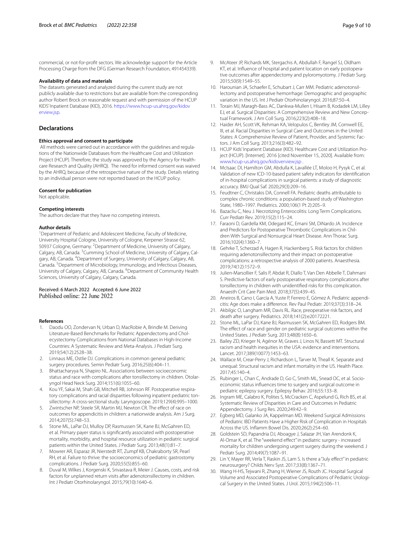commercial, or not-for-proft sectors. We acknowledge support for the Article Processing Charge from the DFG (German Research Foundation, 491454339).

#### **Availability of data and materials**

The datasets generated and analyzed during the current study are not publicly available due to restrictions but are available from the corresponding author Robert Brock on reasonable request and with permission of the HCUP KIDS' Inpatient Database (KID), 2016. [https://www.hcup-us.ahrq.gov/kidov](https://www.hcup-us.ahrq.gov/kidoverview.jsp) [erview.jsp](https://www.hcup-us.ahrq.gov/kidoverview.jsp).

#### **Declarations**

#### **Ethics approval and consent to participate**

 All methods were carried out in accordance with the guidelines and regulations of the Nationwide Databases from the Healthcare Cost and Utilization Project (HCUP). Therefore, the study was approved by the Agency for Healthcare Research and Quality (AHRQ). The need for informed consent was waived by the AHRQ, because of the retrospective nature of the study. Details relating to an individual person were not reported based on the HCUP policy.

#### **Consent for publication**

Not applicable.

#### **Competing interests**

The authors declare that they have no competing interests.

#### **Author details**

<sup>1</sup> Department of Pediatric and Adolescent Medicine, Faculty of Medicine, University Hospital Cologne, University of Cologne, Kerpener Strasse 62, 50937 Cologne, Germany. <sup>2</sup> Department of Medicine, University of Calgary, Calgary, AB, Canada. <sup>3</sup>Cumming School of Medicine, University of Calgary, Calgary, AB, Canada. <sup>4</sup>Department of Surgery, University of Calgary, Calgary, AB, Canada.<sup>5</sup> Department of Microbiology, Immunology, and Infectious Diseases, University of Calgary, Calgary, AB, Canada. <sup>6</sup> Department of Community Health Sciences, University of Calgary, Calgary, Canada.

## Received: 6 March 2022 Accepted: 6 June 2022

#### **References**

- <span id="page-8-0"></span>1. Daodu OO, Zondervan N, Urban D, MacRobie A, Brindle M. Deriving Literature-Based Benchmarks for Pediatric Appendectomy and Cholecystectomy Complications from National Databases in High-Income Countries: A Systematic Review and Meta-Analysis. J Pediatr Surg. 2019;54(12):2528–38.
- <span id="page-8-1"></span>2. Linnaus ME, Ostlie DJ. Complications in common general pediatric surgery procedures. Semin Pediatr Surg. 2016;25(6):404–11.
- <span id="page-8-2"></span>3. Bhattacharyya N, Shapiro NL. Associations between socioeconomic status and race with complications after tonsillectomy in children. Otolaryngol Head Neck Surg. 2014;151(6):1055–60.
- <span id="page-8-6"></span>4. Kou YF, Sakai M, Shah GB, Mitchell RB, Johnson RF. Postoperative respiratory complications and racial disparities following inpatient pediatric tonsillectomy: A cross-sectional study. Laryngoscope. 2019;129(4):995–1000.
- <span id="page-8-7"></span>5. Zwintscher NP, Steele SR, Martin MJ, Newton CR. The efect of race on outcomes for appendicitis in children: a nationwide analysis. Am J Surg. 2014;207(5):748–53.
- <span id="page-8-8"></span>6. Stone ML, LaPar DJ, Mulloy DP, Rasmussen SK, Kane BJ, McGahren ED, et al. Primary payer status is signifcantly associated with postoperative mortality, morbidity, and hospital resource utilization in pediatric surgical patients within the United States. J Pediatr Surg. 2013;48(1):81–7.
- 7. Mowrer AR, Esparaz JR, Nierstedt RT, Zumpf KB, Chakraborty SR, Pearl RH, et al. Failure to thrive: the socioeconomics of pediatric gastrostomy complications. J Pediatr Surg. 2020;55(5):855–60.
- <span id="page-8-9"></span>8. Duval M, Wilkes J, Korgenski K, Srivastava R, Meier J. Causes, costs, and risk factors for unplanned return visits after adenotonsillectomy in children. Int J Pediatr Otorhinolaryngol. 2015;79(10):1640–6.
- <span id="page-8-10"></span>9. McAteer JP, Richards MK, Stergachis A, Abdullah F, Rangel SJ, Oldham KT, et al. Infuence of hospital and patient location on early postoperative outcomes after appendectomy and pyloromyotomy. J Pediatr Surg. 2015;50(9):1549–55.
- <span id="page-8-3"></span>10. Harounian JA, Schaefer E, Schubart J, Carr MM. Pediatric adenotonsillectomy and postoperative hemorrhage: Demographic and geographic variation in the US. Int J Pediatr Otorhinolaryngol. 2016;87:50–4.
- <span id="page-8-4"></span>11. Torain MJ, Maragh-Bass AC, Dankwa-Mullen I, Hisam B, Kodadek LM, Lilley EJ, et al. Surgical Disparities: A Comprehensive Review and New Conceptual Framework. J Am Coll Surg. 2016;223(2):408–18.
- <span id="page-8-5"></span>12. Haider AH, Scott VK, Rehman KA, Velopulos C, Bentley JM, Cornwell EE, III, et al. Racial Disparities in Surgical Care and Outcomes in the United States: A Comprehensive Review of Patient, Provider, and Systemic Factors. J Am Coll Surg. 2013;216(3):482–92.
- <span id="page-8-11"></span>13. HCUP Kids' Inpatient Database (KID). Healthcare Cost and Utilization Project (HCUP). [Internet]. 2016 [cited November 15, 2020]. Available from: [www.hcup-us.ahrq.gov/kidoverview.jsp](http://www.hcup-us.ahrq.gov/kidoverview.jsp) .
- <span id="page-8-12"></span>14. McIsaac DI, Hamilton GM, Abdulla K, Lavallée LT, Moloo H, Pysyk C, et al. Validation of new ICD-10-based patient safety indicators for identifcation of in-hospital complications in surgical patients: a study of diagnostic accuracy. BMJ Qual Saf. 2020;29(3):209–16.
- <span id="page-8-13"></span>15. Feudtner C, Christakis DA, Connell FA. Pediatric deaths attributable to complex chronic conditions: a population-based study of Washington State, 1980–1997. Pediatrics. 2000;106(1 Pt 2):205–9.
- <span id="page-8-14"></span>16. Bazacliu C, Neu J. Necrotizing Enterocolitis: Long Term Complications. Curr Pediatr Rev. 2019;15(2):115–24.
- <span id="page-8-15"></span>17. Faraoni D, Gardella KM, Odegard KC, Emani SM, DiNardo JA. Incidence and Predictors for Postoperative Thrombotic Complications in Children With Surgical and Nonsurgical Heart Disease. Ann Thorac Surg. 2016;102(4):1360–7.
- <span id="page-8-16"></span>18. Gehrke T, Scherzad A, Hagen R, Hackenberg S. Risk factors for children requiring adenotonsillectomy and their impact on postoperative complications: a retrospective analysis of 2000 patients. Anaesthesia. 2019;74(12):1572–9.
- 19. Julien-Marsollier F, Salis P, Abdat R, Diallo T, Van Den Abbelle T, Dahmani S. Predictive factors of early postoperative respiratory complications after tonsillectomy in children with unidentifed risks for this complication. Anaesth Crit Care Pain Med. 2018;37(5):439–45.
- <span id="page-8-17"></span>20. Aneiros B, Cano I, García A, Yuste P, Ferrero E, Gómez A. Pediatric appendicitis: Age does make a diference. Rev Paul Pediatr. 2019;37(3):318–24.
- <span id="page-8-18"></span>21. Akbilgic O, Langham MR, Davis RL. Race, preoperative risk factors, and death after surgery. Pediatrics. 2018;141(2):e20172221.
- <span id="page-8-19"></span>22. Stone ML, LaPar DJ, Kane BJ, Rasmussen SK, McGahren ED, Rodgers BM. The effect of race and gender on pediatric surgical outcomes within the United States. J Pediatr Surg. 2013;48(8):1650–6.
- <span id="page-8-20"></span>23. Bailey ZD, Krieger N, Agénor M, Graves J, Linos N, Bassett MT. Structural racism and health inequities in the USA: evidence and interventions. Lancet. 2017;389(10077):1453–63.
- <span id="page-8-21"></span>24. Wallace M, Crear-Perry J, Richardson L, Tarver M, Theall K. Separate and unequal: Structural racism and infant mortality in the US. Health Place. 2017;45:140–4.
- <span id="page-8-22"></span>25. Rubinger L, Chan C, Andrade D, Go C, Smith ML, Snead OC, et al. Socioeconomic status infuences time to surgery and surgical outcome in pediatric epilepsy surgery. Epilepsy Behav. 2016;55:133–8.
- <span id="page-8-23"></span>26. Ingram ME, Calabro K, Polites S, McCracken C, Aspelund G, Rich BS, et al. Systematic Review of Disparities in Care and Outcomes in Pediatric Appendectomy. J Surg Res. 2020;249:42–9.
- <span id="page-8-24"></span>27. Egberg MD, Galanko JA, Kappelman MD. Weekend Surgical Admissions of Pediatric IBD Patients Have a Higher Risk of Complication in Hospitals Across the US. Infamm Bowel Dis. 2020;26(2):254–60.
- <span id="page-8-25"></span>28. Goldstein SD, Papandria DJ, Aboagye J, Salazar JH, Van Arendonk K, Al-Omar K, et al. The "weekend efect" in pediatric surgery - increased mortality for children undergoing urgent surgery during the weekend. J Pediatr Surg. 2014;49(7):1087–91.
- <span id="page-8-26"></span>29. Lin Y, Mayer RR, Verla T, Raskin JS, Lam S. Is there a "July effect" in pediatric neurosurgery? Childs Nerv Syst. 2017;33(8):1367–71.
- <span id="page-8-27"></span>30. Wang H-HS, Tejwani R, Zhang H, Wiener JS, Routh JC. Hospital Surgical Volume and Associated Postoperative Complications of Pediatric Urological Surgery in the United States. J Urol. 2015;194(2):506–11.